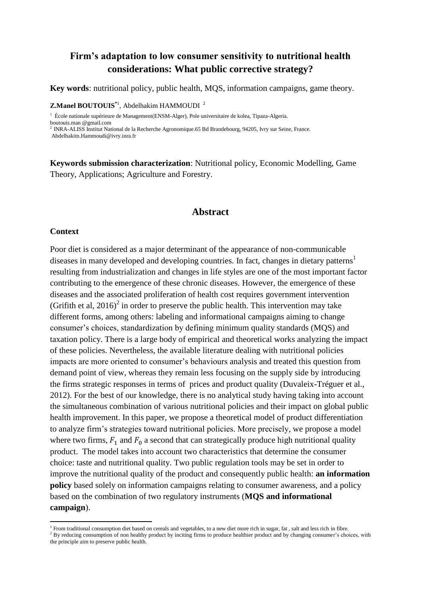# **Firm's adaptation to low consumer sensitivity to nutritional health considerations: What public corrective strategy?**

**Key words**: nutritional policy, public health, MQS, information campaigns, game theory.

**Z.Manel BOUTOUIS**<sup>\*1</sup>, Abdelhakim HAMMOUDI<sup>2</sup>

<sup>1</sup> École nationale supérieure de Management(ENSM-Alger), Pole universitaire de kolea, Tipaza-Algeria.

boutouis.man @gmail.com

<sup>2</sup>INRA-ALISS Institut National de la Recherche Agronomique.65 Bd Brandebourg, 94205, Ivry sur Seine, France.

Abdelhakim.Hammoudi@ivry.inra.fr

**Keywords submission characterization**: Nutritional policy, Economic Modelling, Game Theory, Applications; Agriculture and Forestry.

## **Abstract**

#### **Context**

**.** 

Poor diet is considered as a major determinant of the appearance of non-communicable diseases in many developed and developing countries. In fact, changes in dietary patterns<sup>1</sup> resulting from industrialization and changes in life styles are one of the most important factor contributing to the emergence of these chronic diseases. However, the emergence of these diseases and the associated proliferation of health cost requires government intervention (Grifith et al,  $2016$ )<sup>2</sup> in order to preserve the public health. This intervention may take different forms, among others: labeling and informational campaigns aiming to change consumer's choices, standardization by defining minimum quality standards (MQS) and taxation policy. There is a large body of empirical and theoretical works analyzing the impact of these policies. Nevertheless, the available literature dealing with nutritional policies impacts are more oriented to consumer's behaviours analysis and treated this question from demand point of view, whereas they remain less focusing on the supply side by introducing the firms strategic responses in terms of prices and product quality (Duvaleix-Tréguer et al., 2012). For the best of our knowledge, there is no analytical study having taking into account the simultaneous combination of various nutritional policies and their impact on global public health improvement. In this paper, we propose a theoretical model of product differentiation to analyze firm's strategies toward nutritional policies. More precisely, we propose a model where two firms,  $F_1$  and  $F_0$  a second that can strategically produce high nutritional quality product. The model takes into account two characteristics that determine the consumer choice: taste and nutritional quality. Two public regulation tools may be set in order to improve the nutritional quality of the product and consequently public health: **an information policy** based solely on information campaigns relating to consumer awareness, and a policy based on the combination of two regulatory instruments (**MQS and informational campaign**).

<sup>&</sup>lt;sup>1</sup> From traditional consumption diet based on cereals and vegetables, to a new diet more rich in sugar, fat, salt and less rich in fibre.

<sup>&</sup>lt;sup>2</sup> By reducing consumption of non healthy product by inciting firms to produce healthier product and by changing consumer's choices, with the principle aim to preserve public health.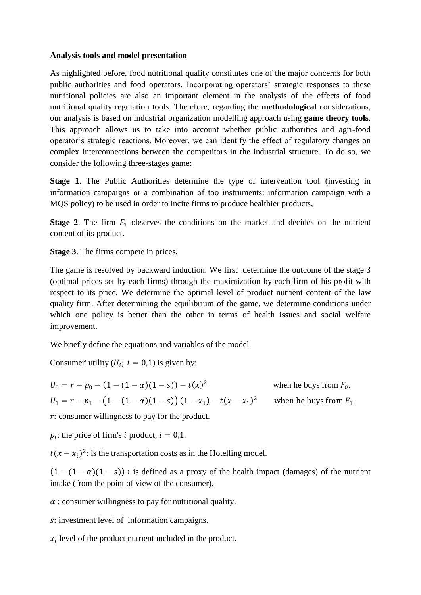## **Analysis tools and model presentation**

As highlighted before, food nutritional quality constitutes one of the major concerns for both public authorities and food operators. Incorporating operators' strategic responses to these nutritional policies are also an important element in the analysis of the effects of food nutritional quality regulation tools. Therefore, regarding the **methodological** considerations, our analysis is based on industrial organization modelling approach using **game theory tools**. This approach allows us to take into account whether public authorities and agri-food operator's strategic reactions. Moreover, we can identify the effect of regulatory changes on complex interconnections between the competitors in the industrial structure. To do so, we consider the following three-stages game:

**Stage 1**. The Public Authorities determine the type of intervention tool (investing in information campaigns or a combination of too instruments: information campaign with a MQS policy) to be used in order to incite firms to produce healthier products,

**Stage** 2. The firm  $F_1$  observes the conditions on the market and decides on the nutrient content of its product.

**Stage 3**. The firms compete in prices.

The game is resolved by backward induction. We first determine the outcome of the stage 3 (optimal prices set by each firms) through the maximization by each firm of his profit with respect to its price. We determine the optimal level of product nutrient content of the law quality firm. After determining the equilibrium of the game, we determine conditions under which one policy is better than the other in terms of health issues and social welfare improvement.

We briefly define the equations and variables of the model

Consumer' utility  $(U_i; i = 0,1)$  is given by:

$$
U_0 = r - p_0 - (1 - (1 - \alpha)(1 - s)) - t(x)^2
$$
 when he buys from  $F_0$ .  
\n
$$
U_1 = r - p_1 - (1 - (1 - \alpha)(1 - s)) (1 - x_1) - t(x - x_1)^2
$$
 when he buys from  $F_1$ .

 $r$ : consumer willingness to pay for the product.

 $p_i$ : the price of firm's i product,

 $t(x - x_i)^2$ : is the transportation costs as in the Hotelling model.

 $(1 - (1 - \alpha)(1 - s))$ : is defined as a proxy of the health impact (damages) of the nutrient intake (from the point of view of the consumer).

 $\alpha$ : consumer willingness to pay for nutritional quality.

s: investment level of information campaigns.

 $x_i$  level of the product nutrient included in the product.